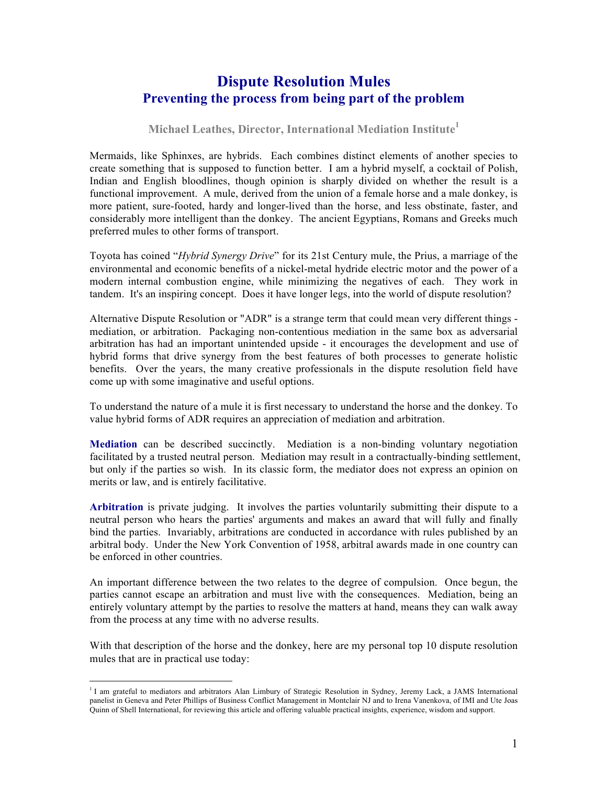# **Dispute Resolution Mules Preventing the process from being part of the problem**

### **Michael Leathes, Director, International Mediation Institute<sup>1</sup>**

Mermaids, like Sphinxes, are hybrids. Each combines distinct elements of another species to create something that is supposed to function better. I am a hybrid myself, a cocktail of Polish, Indian and English bloodlines, though opinion is sharply divided on whether the result is a functional improvement. A mule, derived from the union of a female horse and a male donkey, is more patient, sure-footed, hardy and longer-lived than the horse, and less obstinate, faster, and considerably more intelligent than the donkey. The ancient Egyptians, Romans and Greeks much preferred mules to other forms of transport.

Toyota has coined "*Hybrid Synergy Drive*" for its 21st Century mule, the Prius, a marriage of the environmental and economic benefits of a nickel-metal hydride electric motor and the power of a modern internal combustion engine, while minimizing the negatives of each. They work in tandem. It's an inspiring concept. Does it have longer legs, into the world of dispute resolution?

Alternative Dispute Resolution or "ADR" is a strange term that could mean very different things mediation, or arbitration. Packaging non-contentious mediation in the same box as adversarial arbitration has had an important unintended upside - it encourages the development and use of hybrid forms that drive synergy from the best features of both processes to generate holistic benefits. Over the years, the many creative professionals in the dispute resolution field have come up with some imaginative and useful options.

To understand the nature of a mule it is first necessary to understand the horse and the donkey. To value hybrid forms of ADR requires an appreciation of mediation and arbitration.

**Mediation** can be described succinctly. Mediation is a non-binding voluntary negotiation facilitated by a trusted neutral person. Mediation may result in a contractually-binding settlement, but only if the parties so wish. In its classic form, the mediator does not express an opinion on merits or law, and is entirely facilitative.

**Arbitration** is private judging. It involves the parties voluntarily submitting their dispute to a neutral person who hears the parties' arguments and makes an award that will fully and finally bind the parties. Invariably, arbitrations are conducted in accordance with rules published by an arbitral body. Under the New York Convention of 1958, arbitral awards made in one country can be enforced in other countries.

An important difference between the two relates to the degree of compulsion. Once begun, the parties cannot escape an arbitration and must live with the consequences. Mediation, being an entirely voluntary attempt by the parties to resolve the matters at hand, means they can walk away from the process at any time with no adverse results.

With that description of the horse and the donkey, here are my personal top 10 dispute resolution mules that are in practical use today:

<sup>&</sup>lt;sup>1</sup> I am grateful to mediators and arbitrators Alan Limbury of Strategic Resolution in Sydney, Jeremy Lack, a JAMS International panelist in Geneva and Peter Phillips of Business Conflict Management in Montclair NJ and to Irena Vanenkova, of IMI and Ute Joas Quinn of Shell International, for reviewing this article and offering valuable practical insights, experience, wisdom and support.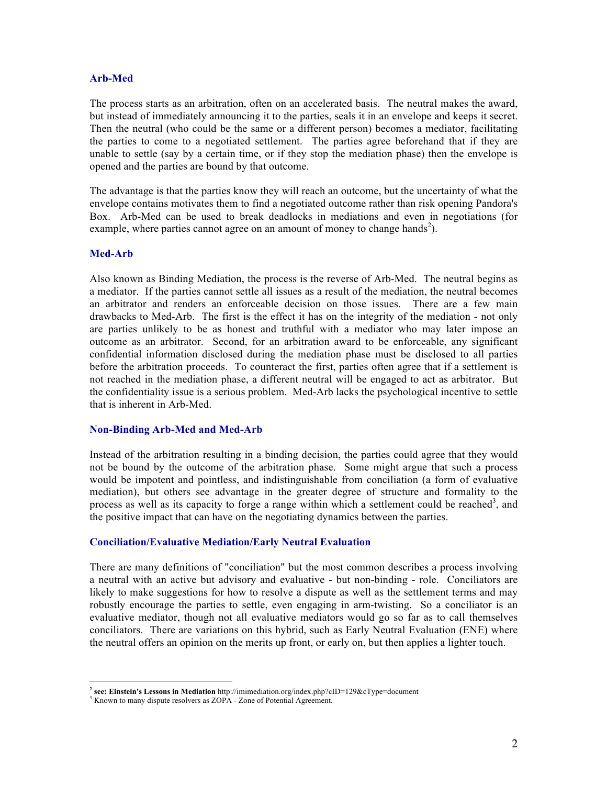### **Arb-Med**

The process starts as an arbitration, often on an accelerated basis. The neutral makes the award, but instead of immediately announcing it to the parties, seals it in an envelope and keeps it secret. Then the neutral (who could be the same or a different person) becomes a mediator, facilitating the parties to come to a negotiated settlement. The parties agree beforehand that if they are unable to settle (say by a certain time, or if they stop the mediation phase) then the envelope is opened and the parties are bound by that outcome.

The advantage is that the parties know they will reach an outcome, but the uncertainty of what the envelope contains motivates them to find a negotiated outcome rather than risk opening Pandora's Box. Arb-Med can be used to break deadlocks in mediations and even in negotiations (for example, where parties cannot agree on an amount of money to change hands<sup>2</sup>).

# **Med-Arb**

 $\overline{a}$ 

Also known as Binding Mediation, the process is the reverse of Arb-Med. The neutral begins as a mediator. If the parties cannot settle all issues as a result of the mediation, the neutral becomes an arbitrator and renders an enforceable decision on those issues. There are a few main drawbacks to Med-Arb. The first is the effect it has on the integrity of the mediation - not only are parties unlikely to be as honest and truthful with a mediator who may later impose an outcome as an arbitrator. Second, for an arbitration award to be enforceable, any significant confidential information disclosed during the mediation phase must be disclosed to all parties before the arbitration proceeds. To counteract the first, parties often agree that if a settlement is not reached in the mediation phase, a different neutral will be engaged to act as arbitrator. But the confidentiality issue is a serious problem. Med-Arb lacks the psychological incentive to settle that is inherent in Arb-Med.

#### **Non-Binding Arb-Med and Med-Arb**

Instead of the arbitration resulting in a binding decision, the parties could agree that they would not be bound by the outcome of the arbitration phase. Some might argue that such a process would be impotent and pointless, and indistinguishable from conciliation (a form of evaluative mediation), but others see advantage in the greater degree of structure and formality to the process as well as its capacity to forge a range within which a settlement could be reached<sup>3</sup>, and the positive impact that can have on the negotiating dynamics between the parties.

# **Conciliation/Evaluative Mediation/Early Neutral Evaluation**

There are many definitions of "conciliation" but the most common describes a process involving a neutral with an active but advisory and evaluative - but non-binding - role. Conciliators are likely to make suggestions for how to resolve a dispute as well as the settlement terms and may robustly encourage the parties to settle, even engaging in arm-twisting. So a conciliator is an evaluative mediator, though not all evaluative mediators would go so far as to call themselves conciliators. There are variations on this hybrid, such as Early Neutral Evaluation (ENE) where the neutral offers an opinion on the merits up front, or early on, but then applies a lighter touch.

**<sup>2</sup> see: Einstein's Lessons in Mediation** http://imimediation.org/index.php?cID=129&cType=document

<sup>&</sup>lt;sup>3</sup> Known to many dispute resolvers as ZOPA - Zone of Potential Agreement.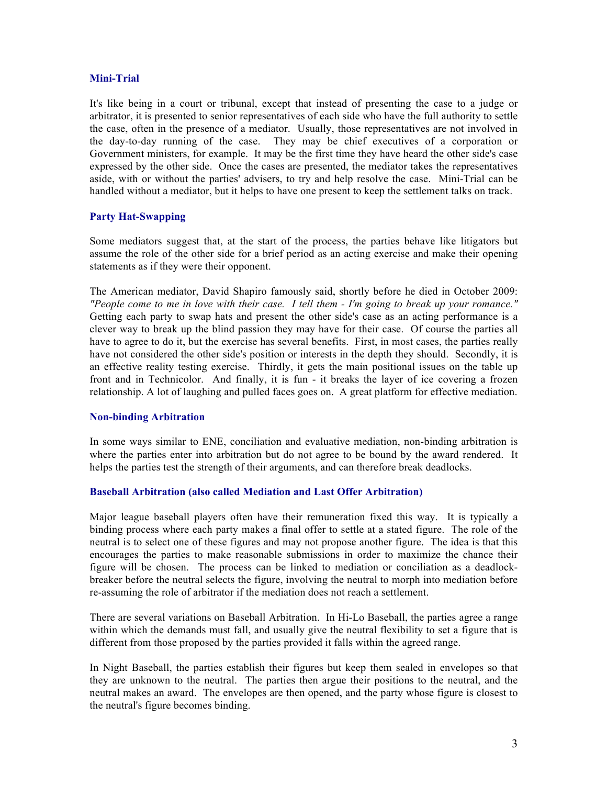# **Mini-Trial**

It's like being in a court or tribunal, except that instead of presenting the case to a judge or arbitrator, it is presented to senior representatives of each side who have the full authority to settle the case, often in the presence of a mediator. Usually, those representatives are not involved in the day-to-day running of the case. They may be chief executives of a corporation or Government ministers, for example. It may be the first time they have heard the other side's case expressed by the other side. Once the cases are presented, the mediator takes the representatives aside, with or without the parties' advisers, to try and help resolve the case. Mini-Trial can be handled without a mediator, but it helps to have one present to keep the settlement talks on track.

# **Party Hat-Swapping**

Some mediators suggest that, at the start of the process, the parties behave like litigators but assume the role of the other side for a brief period as an acting exercise and make their opening statements as if they were their opponent.

The American mediator, David Shapiro famously said, shortly before he died in October 2009: *"People come to me in love with their case. I tell them - I'm going to break up your romance."* Getting each party to swap hats and present the other side's case as an acting performance is a clever way to break up the blind passion they may have for their case. Of course the parties all have to agree to do it, but the exercise has several benefits. First, in most cases, the parties really have not considered the other side's position or interests in the depth they should. Secondly, it is an effective reality testing exercise. Thirdly, it gets the main positional issues on the table up front and in Technicolor. And finally, it is fun - it breaks the layer of ice covering a frozen relationship. A lot of laughing and pulled faces goes on. A great platform for effective mediation.

#### **Non-binding Arbitration**

In some ways similar to ENE, conciliation and evaluative mediation, non-binding arbitration is where the parties enter into arbitration but do not agree to be bound by the award rendered. It helps the parties test the strength of their arguments, and can therefore break deadlocks.

#### **Baseball Arbitration (also called Mediation and Last Offer Arbitration)**

Major league baseball players often have their remuneration fixed this way. It is typically a binding process where each party makes a final offer to settle at a stated figure. The role of the neutral is to select one of these figures and may not propose another figure. The idea is that this encourages the parties to make reasonable submissions in order to maximize the chance their figure will be chosen. The process can be linked to mediation or conciliation as a deadlockbreaker before the neutral selects the figure, involving the neutral to morph into mediation before re-assuming the role of arbitrator if the mediation does not reach a settlement.

There are several variations on Baseball Arbitration. In Hi-Lo Baseball, the parties agree a range within which the demands must fall, and usually give the neutral flexibility to set a figure that is different from those proposed by the parties provided it falls within the agreed range.

In Night Baseball, the parties establish their figures but keep them sealed in envelopes so that they are unknown to the neutral. The parties then argue their positions to the neutral, and the neutral makes an award. The envelopes are then opened, and the party whose figure is closest to the neutral's figure becomes binding.